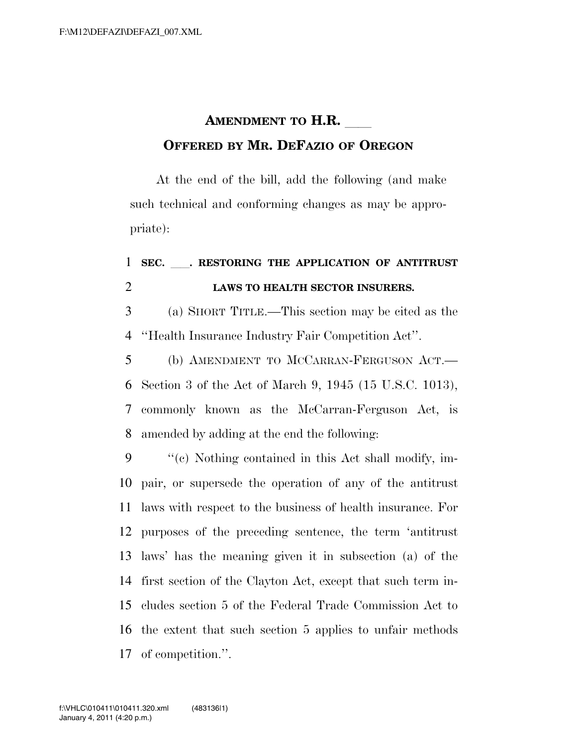## **AMENDMENT TO H.R. OFFERED BY MR. DEFAZIO OF OREGON**

At the end of the bill, add the following (and make such technical and conforming changes as may be appropriate):

## **SEC.** ll**. RESTORING THE APPLICATION OF ANTITRUST LAWS TO HEALTH SECTOR INSURERS.**

 (a) SHORT TITLE.—This section may be cited as the ''Health Insurance Industry Fair Competition Act''.

 (b) AMENDMENT TO MCCARRAN-FERGUSON ACT.— Section 3 of the Act of March 9, 1945 (15 U.S.C. 1013), commonly known as the McCarran-Ferguson Act, is amended by adding at the end the following:

 ''(c) Nothing contained in this Act shall modify, im- pair, or supersede the operation of any of the antitrust laws with respect to the business of health insurance. For purposes of the preceding sentence, the term 'antitrust laws' has the meaning given it in subsection (a) of the first section of the Clayton Act, except that such term in- cludes section 5 of the Federal Trade Commission Act to the extent that such section 5 applies to unfair methods of competition.''.